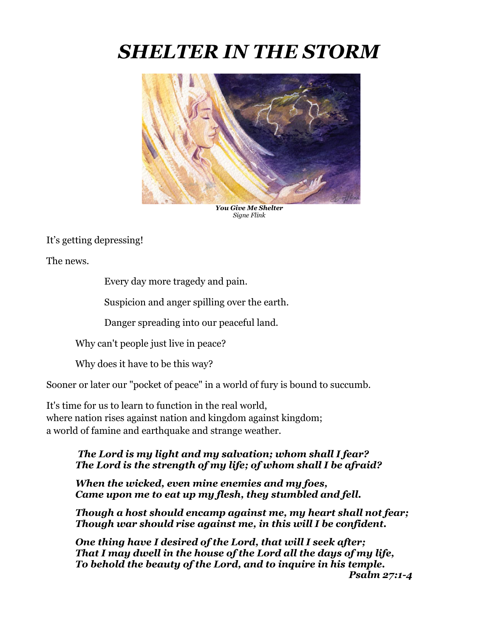## *SHELTER IN THE STORM*



*You Give Me Shelter Signe Flink*

It's getting depressing!

The news.

Every day more tragedy and pain.

Suspicion and anger spilling over the earth.

Danger spreading into our peaceful land.

Why can't people just live in peace?

Why does it have to be this way?

Sooner or later our "pocket of peace" in a world of fury is bound to succumb.

It's time for us to learn to function in the real world, where nation rises against nation and kingdom against kingdom; a world of famine and earthquake and strange weather.

## *The Lord is my light and my salvation; whom shall I fear? The Lord is the strength of my life; of whom shall I be afraid?*

*When the wicked, even mine enemies and my foes, Came upon me to eat up my flesh, they stumbled and fell.*

*Though a host should encamp against me, my heart shall not fear; Though war should rise against me, in this will I be confident.*

*One thing have I desired of the Lord, that will I seek after; That I may dwell in the house of the Lord all the days of my life, To behold the beauty of the Lord, and to inquire in his temple. Psalm 27:1-4*